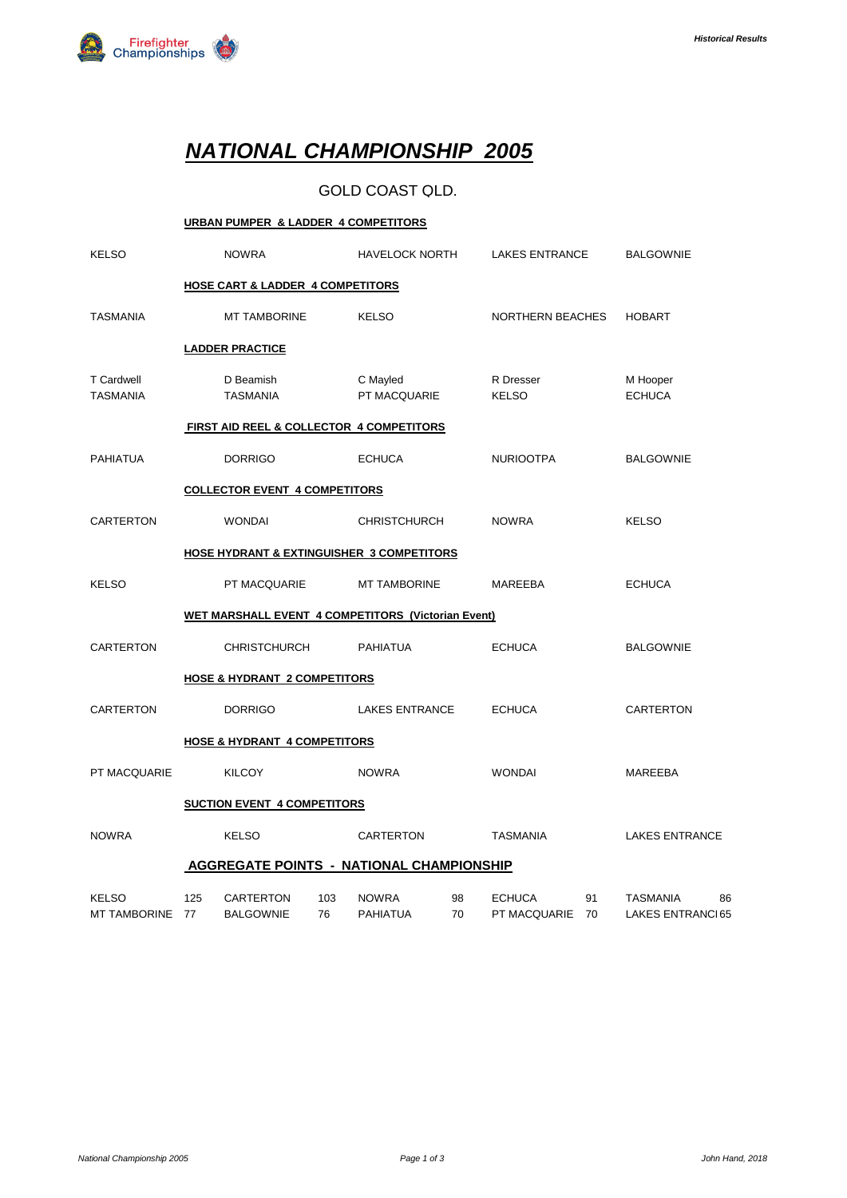

# *NATIONAL CHAMPIONSHIP 2005*

### GOLD COAST QLD.

|                                      | URBAN PUMPER & LADDER 4 COMPETITORS     |                                                      |           |                                 |          |                               |          |                                     |    |
|--------------------------------------|-----------------------------------------|------------------------------------------------------|-----------|---------------------------------|----------|-------------------------------|----------|-------------------------------------|----|
| <b>KELSO</b>                         |                                         | <b>NOWRA</b>                                         |           | <b>HAVELOCK NORTH</b>           |          | <b>LAKES ENTRANCE</b>         |          | <b>BALGOWNIE</b>                    |    |
|                                      |                                         | <b>HOSE CART &amp; LADDER 4 COMPETITORS</b>          |           |                                 |          |                               |          |                                     |    |
| <b>TASMANIA</b>                      |                                         | <b>MT TAMBORINE</b>                                  |           | <b>KELSO</b>                    |          | NORTHERN BEACHES              |          | <b>HOBART</b>                       |    |
|                                      |                                         | <b>LADDER PRACTICE</b>                               |           |                                 |          |                               |          |                                     |    |
| <b>T</b> Cardwell<br><b>TASMANIA</b> |                                         | D Beamish<br><b>TASMANIA</b>                         |           | C Mayled<br>PT MACQUARIE        |          | R Dresser<br><b>KELSO</b>     |          | M Hooper<br><b>ECHUCA</b>           |    |
|                                      |                                         | FIRST AID REEL & COLLECTOR 4 COMPETITORS             |           |                                 |          |                               |          |                                     |    |
| <b>PAHIATUA</b>                      |                                         | <b>DORRIGO</b>                                       |           | <b>ECHUCA</b>                   |          | <b>NURIOOTPA</b>              |          | <b>BALGOWNIE</b>                    |    |
|                                      |                                         | <b>COLLECTOR EVENT 4 COMPETITORS</b>                 |           |                                 |          |                               |          |                                     |    |
| CARTERTON                            |                                         | <b>WONDAI</b>                                        |           | <b>CHRISTCHURCH</b>             |          | <b>NOWRA</b>                  |          | <b>KELSO</b>                        |    |
|                                      |                                         | <b>HOSE HYDRANT &amp; EXTINGUISHER 3 COMPETITORS</b> |           |                                 |          |                               |          |                                     |    |
| <b>KELSO</b>                         |                                         | PT MACQUARIE                                         |           | <b>MT TAMBORINE</b>             |          | MAREEBA                       |          | <b>ECHUCA</b>                       |    |
|                                      |                                         | WET MARSHALL EVENT 4 COMPETITORS (Victorian Event)   |           |                                 |          |                               |          |                                     |    |
| CARTERTON                            |                                         | <b>CHRISTCHURCH</b>                                  |           | <b>PAHIATUA</b>                 |          | <b>ECHUCA</b>                 |          | <b>BALGOWNIE</b>                    |    |
|                                      |                                         | <b>HOSE &amp; HYDRANT 2 COMPETITORS</b>              |           |                                 |          |                               |          |                                     |    |
| <b>CARTERTON</b>                     |                                         | <b>DORRIGO</b>                                       |           | <b>LAKES ENTRANCE</b>           |          | <b>ECHUCA</b>                 |          | CARTERTON                           |    |
|                                      | <b>HOSE &amp; HYDRANT 4 COMPETITORS</b> |                                                      |           |                                 |          |                               |          |                                     |    |
| PT MACQUARIE                         |                                         | <b>KILCOY</b>                                        |           | <b>NOWRA</b>                    |          | <b>WONDAI</b>                 |          | MAREEBA                             |    |
|                                      |                                         | <b>SUCTION EVENT 4 COMPETITORS</b>                   |           |                                 |          |                               |          |                                     |    |
| <b>NOWRA</b>                         |                                         | <b>KELSO</b>                                         |           | <b>CARTERTON</b>                |          | <b>TASMANIA</b>               |          | <b>LAKES ENTRANCE</b>               |    |
|                                      |                                         | <b>AGGREGATE POINTS - NATIONAL CHAMPIONSHIP</b>      |           |                                 |          |                               |          |                                     |    |
| <b>KELSO</b><br>MT TAMBORINE 77      | 125                                     | <b>CARTERTON</b><br><b>BALGOWNIE</b>                 | 103<br>76 | <b>NOWRA</b><br><b>PAHIATUA</b> | 98<br>70 | <b>ECHUCA</b><br>PT MACQUARIE | 91<br>70 | <b>TASMANIA</b><br>LAKES ENTRANCI65 | 86 |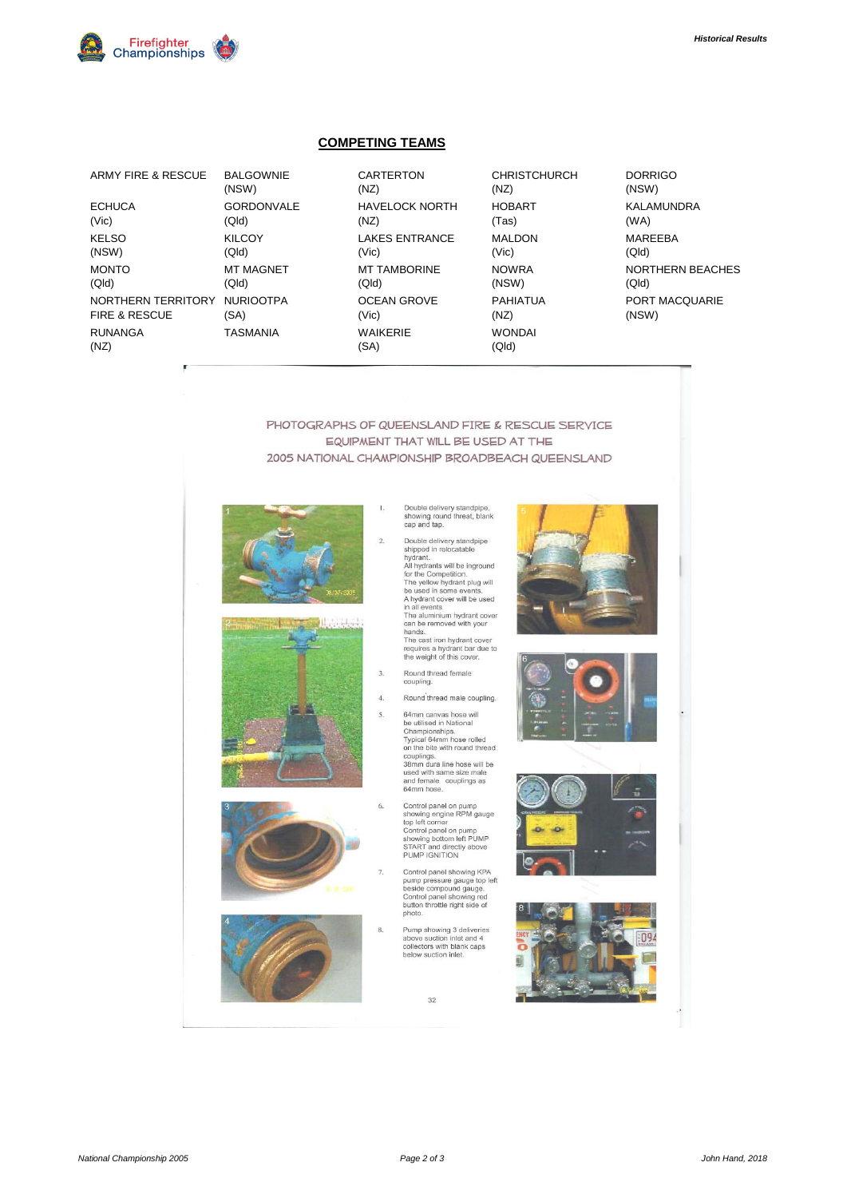

#### **COMPETING TEAMS**

| ARMY FIRE & RESCUE       | <b>BALGOWNIE</b>  | <b>CARTERTON</b>        | <b>CHRISTCHURCH</b>    | <b>DORRIGO</b> |
|--------------------------|-------------------|-------------------------|------------------------|----------------|
|                          | (NSW)             | (NZ)                    | (NZ)                   | (NSW)          |
| <b>ECHUCA</b>            | <b>GORDONVALE</b> | <b>HAVELOCK NORTH</b>   | <b>HOBART</b>          | <b>KALAMUN</b> |
| (Vic)                    | (Qld)             | (NZ)                    | (Tas)                  | (WA)           |
| <b>KELSO</b>             | <b>KILCOY</b>     | <b>LAKES ENTRANCE</b>   | <b>MALDON</b>          | <b>MAREEBA</b> |
| (NSW)                    | (Q d)             | (Vic)                   | (Vic)                  | (Qld)          |
| <b>MONTO</b>             | <b>MT MAGNET</b>  | <b>MT TAMBORINE</b>     | <b>NOWRA</b>           | <b>NORTHER</b> |
| (Qld)                    | (Qld)             | (QId)                   | (NSW)                  | (Qld)          |
| NORTHERN TERRITORY       | <b>NURIOOTPA</b>  | <b>OCEAN GROVE</b>      | <b>PAHIATUA</b>        | PORT MA        |
| <b>FIRE &amp; RESCUE</b> | (SA)              | (Vic)                   | (NZ)                   | (NSW)          |
| <b>RUNANGA</b><br>(NZ)   | <b>TASMANIA</b>   | <b>WAIKERIE</b><br>(SA) | <b>WONDAI</b><br>(Qld) |                |
|                          |                   |                         |                        |                |

| BALGOWNIE         | <b>CARTERTON</b>        | <b>CHRISTCHURCH</b>    | <b>DORRIGO</b>    |
|-------------------|-------------------------|------------------------|-------------------|
| (NSW)             | (NZ)                    | (NZ)                   | (NSW)             |
| <b>GORDONVALE</b> | <b>HAVELOCK NORTH</b>   | <b>HOBART</b>          | <b>KALAMUNDRA</b> |
| (Qld)             | (NZ)                    | (Tas)                  | (WA)              |
| <b>KILCOY</b>     | <b>LAKES ENTRANCE</b>   | <b>MALDON</b>          | <b>MAREEBA</b>    |
| (Qld)             | (Vic)                   | (Vic)                  | (Qld)             |
| MT MAGNET         | <b>MT TAMBORINE</b>     | <b>NOWRA</b>           | NORTHERN BEACH    |
| (Qld)             | (Qld)                   | (NSW)                  | (Qld)             |
| <b>NURIOOTPA</b>  | <b>OCEAN GROVE</b>      | <b>PAHIATUA</b>        | PORT MACQUARIE    |
| (SA)              | (V <sub>i</sub> )       | (NZ)                   | (NSW)             |
| TASMANIA          | <b>WAIKERIE</b><br>(SA) | <b>WONDAI</b><br>(QId) |                   |

PHOTOGRAPHS OF QUEENSLAND FIRE & RESCUE SERVICE EQUIPMENT THAT WILL BE USED AT THE 2005 NATIONAL CHAMPIONSHIP BROADBEACH QUEENSLAND



-52 , it

Double delivery standpipe,<br>showing round threat, blank<br>cap and tap.  $1\,$ 

cap and tap.<br>
Dauble delivery standpipe<br>
Dauble diviery standpipe<br>
shipped in relocatable<br>
hylidrants will be inground<br>
for the Competition.<br>
The yellow hydrant tower will be used<br>
All hydrant cover will be used<br>
hands.<br>
I

- 
- $\overline{4}$ Round thread male coupling.

64mm canvas hose will<br>be utilised in National<br>Championships.<br>Typical 64mm hose rolled<br>on the bite with round thread or the bind with tourist<br>38mm dura line hose will be<br>used with same size male<br>and female couplings as<br>64mm hose.

- Control panel on pump<br>showing engine RPM gauge<br>top left corner<br>Control panel on pump<br>showing bottom left PUMP<br>START and directly above<br>PUMP IGNITION  $6<sub>1</sub>$
- Control panel showing KPA  $\overline{7}$ Control panel showing KPA<br>pump pressure gauge top left<br>beside compound gauge.<br>Control panel showing red<br>button throttle right side of<br>photo.
- Pump showing 3 deliveries<br>above suction inlet and 4<br>collectors with blank caps<br>below suction inlet.

32









 $\overline{3}$ 

 $\overline{8}$ 

 $\overline{2}$ 

- Round thread female<br>coupling.
- 5.